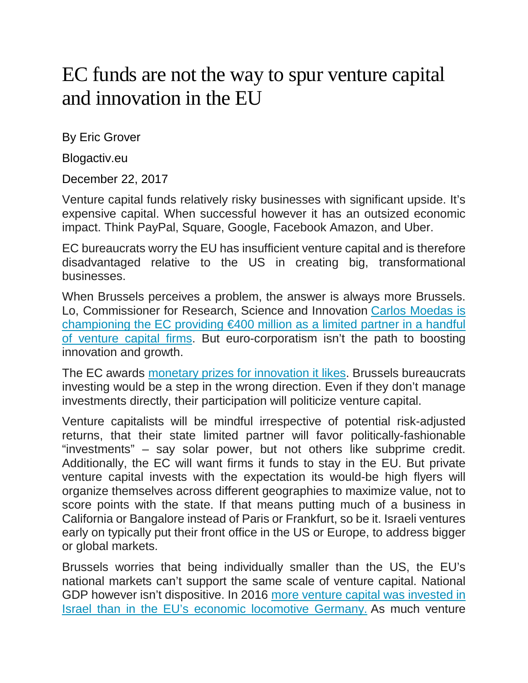## EC funds are not the way to spur venture capital and innovation in the EU

By Eric Grover

Blogactiv.eu

December 22, 2017

Venture capital funds relatively risky businesses with significant upside. It's expensive capital. When successful however it has an outsized economic impact. Think PayPal, Square, Google, Facebook Amazon, and Uber.

EC bureaucrats worry the EU has insufficient venture capital and is therefore disadvantaged relative to the US in creating big, transformational businesses.

When Brussels perceives a problem, the answer is always more Brussels. Lo, Commissioner for Research, Science and Innovation [Carlos Moedas is](https://www.wsj.com/articles/europe-starts-seed-fund-to-keep-small-tech-from-leaving-1512383401)  [championing the EC providing €400 million as a limited partner in a handful](https://www.wsj.com/articles/europe-starts-seed-fund-to-keep-small-tech-from-leaving-1512383401)  [of venture capital firms.](https://www.wsj.com/articles/europe-starts-seed-fund-to-keep-small-tech-from-leaving-1512383401) But euro-corporatism isn't the path to boosting innovation and growth.

The EC awards [monetary prizes for innovation it likes.](https://ec.europa.eu/research/horizonprize/index.cfm?pg=prizes) Brussels bureaucrats investing would be a step in the wrong direction. Even if they don't manage investments directly, their participation will politicize venture capital.

Venture capitalists will be mindful irrespective of potential risk-adjusted returns, that their state limited partner will favor politically-fashionable "investments" – say solar power, but not others like subprime credit. Additionally, the EC will want firms it funds to stay in the EU. But private venture capital invests with the expectation its would-be high flyers will organize themselves across different geographies to maximize value, not to score points with the state. If that means putting much of a business in California or Bangalore instead of Paris or Frankfurt, so be it. Israeli ventures early on typically put their front office in the US or Europe, to address bigger or global markets.

Brussels worries that being individually smaller than the US, the EU's national markets can't support the same scale of venture capital. National GDP however isn't dispositive. In 2016 [more venture capital was invested in](https://blog.dealroom.co/wp-content/uploads/2017/01/2016-European-Venture-Capital-Report.pdf)  [Israel than in the EU's economic locomotive Germany.](https://blog.dealroom.co/wp-content/uploads/2017/01/2016-European-Venture-Capital-Report.pdf) As much venture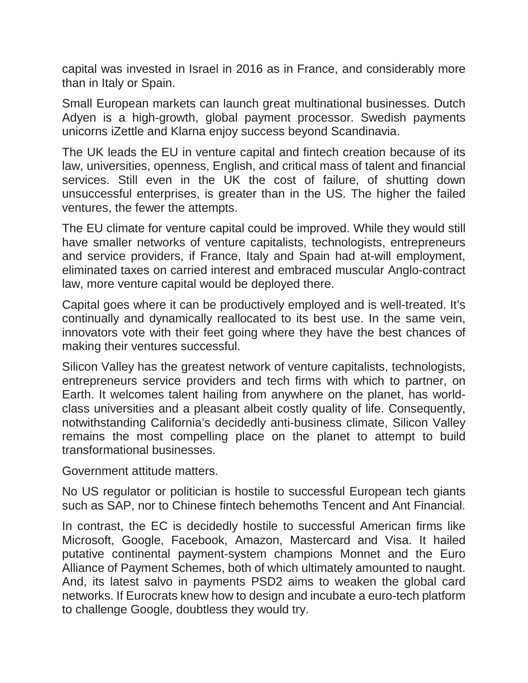capital was invested in Israel in 2016 as in France, and considerably more than in Italy or Spain.

Small European markets can launch great multinational businesses. Dutch Adyen is a high-growth, global payment processor. Swedish payments unicorns iZettle and Klarna enjoy success beyond Scandinavia.

The UK leads the EU in venture capital and fintech creation because of its law, universities, openness, English, and critical mass of talent and financial services. Still even in the UK the cost of failure, of shutting down unsuccessful enterprises, is greater than in the US. The higher the failed ventures, the fewer the attempts.

The EU climate for venture capital could be improved. While they would still have smaller networks of venture capitalists, technologists, entrepreneurs and service providers, if France, Italy and Spain had at-will employment, eliminated taxes on carried interest and embraced muscular Anglo-contract law, more venture capital would be deployed there.

Capital goes where it can be productively employed and is well-treated. It's continually and dynamically reallocated to its best use. In the same vein, innovators vote with their feet going where they have the best chances of making their ventures successful.

Silicon Valley has the greatest network of venture capitalists, technologists, entrepreneurs service providers and tech firms with which to partner, on Earth. It welcomes talent hailing from anywhere on the planet, has worldclass universities and a pleasant albeit costly quality of life. Consequently, notwithstanding California's decidedly anti-business climate, Silicon Valley remains the most compelling place on the planet to attempt to build transformational businesses.

Government attitude matters.

No US regulator or politician is hostile to successful European tech giants such as SAP, nor to Chinese fintech behemoths Tencent and Ant Financial.

In contrast, the EC is decidedly hostile to successful American firms like Microsoft, Google, Facebook, Amazon, Mastercard and Visa. It hailed putative continental payment-system champions Monnet and the Euro Alliance of Payment Schemes, both of which ultimately amounted to naught. And, its latest salvo in payments PSD2 aims to weaken the global card networks. If Eurocrats knew how to design and incubate a euro-tech platform to challenge Google, doubtless they would try.